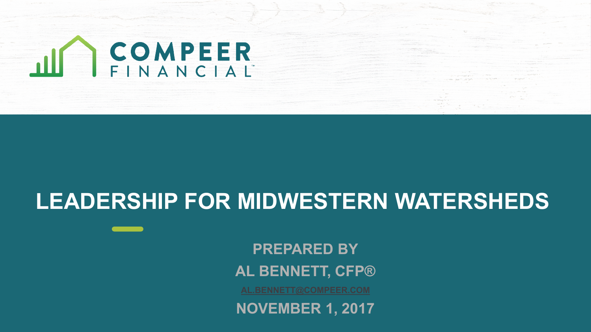

#### **LEADERSHIP FOR MIDWESTERN WATERSHEDS**

**PREPARED BY AL BENNETT, CFP®**

**NOVEMBER 1, 2017**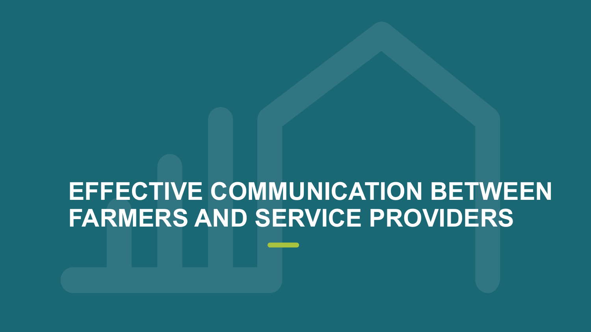# **EFFECTIVE COMMUNICATION BETWEEN FARMERS AND SERVICE PROVIDERS**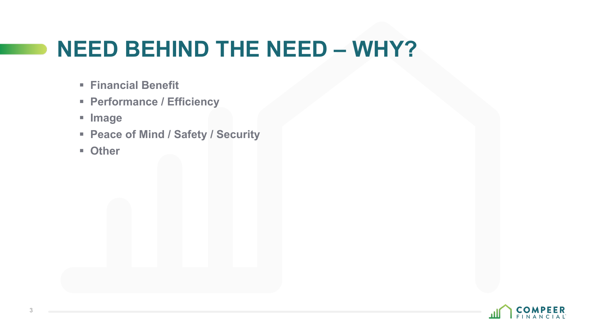## **NEED BEHIND THE NEED – WHY?**

- § **Financial Benefit**
- § **Performance / Efficiency**
- § **Image**
- § **Peace of Mind / Safety / Security**
- § **Other**

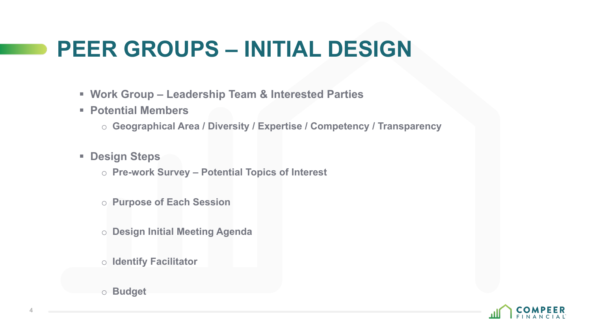#### **PEER GROUPS – INITIAL DESIGN**

- § **Work Group – Leadership Team & Interested Parties**
- § **Potential Members**
	- o **Geographical Area / Diversity / Expertise / Competency / Transparency**
- § **Design Steps**
	- o **Pre-work Survey – Potential Topics of Interest**
	- o **Purpose of Each Session**
	- o **Design Initial Meeting Agenda**
	- o **Identify Facilitator**
	- o **Budget**

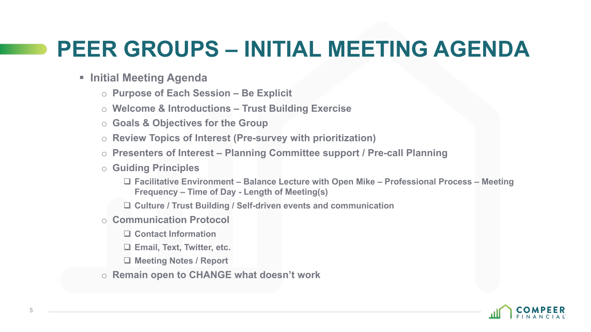### **PEER GROUPS – INITIAL MEETING AGENDA**

- § **Initial Meeting Agenda**
	- o **Purpose of Each Session – Be Explicit**
	- o **Welcome & Introductions – Trust Building Exercise**
	- o **Goals & Objectives for the Group**
	- o **Review Topics of Interest (Pre-survey with prioritization)**
	- o **Presenters of Interest – Planning Committee support / Pre-call Planning**
	- o **Guiding Principles**
		- q **Facilitative Environment – Balance Lecture with Open Mike – Professional Process – Meeting Frequency – Time of Day - Length of Meeting(s)**
		- □ Culture / Trust Building / Self-driven events and communication
	- o **Communication Protocol**
		- □ Contact Information
		- □ Email, Text, Twitter, etc.
		- □ Meeting Notes / Report
	- o **Remain open to CHANGE what doesn't work**

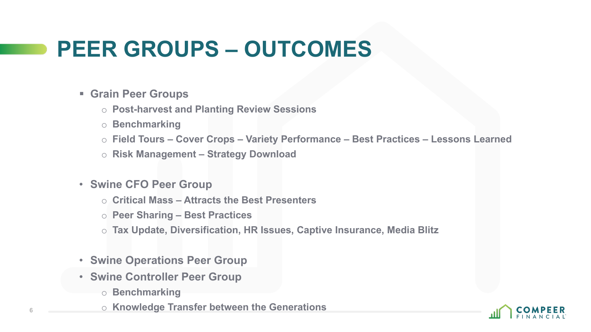## **PEER GROUPS – OUTCOMES**

- § **Grain Peer Groups**
	- o **Post-harvest and Planting Review Sessions**
	- o **Benchmarking**
	- o **Field Tours – Cover Crops – Variety Performance – Best Practices – Lessons Learned**
	- o **Risk Management – Strategy Download**
- **Swine CFO Peer Group**
	- o **Critical Mass – Attracts the Best Presenters**
	- o **Peer Sharing – Best Practices**
	- o **Tax Update, Diversification, HR Issues, Captive Insurance, Media Blitz**
- **Swine Operations Peer Group**
- **Swine Controller Peer Group**
	- o **Benchmarking**
	- o **Knowledge Transfer between the Generations**